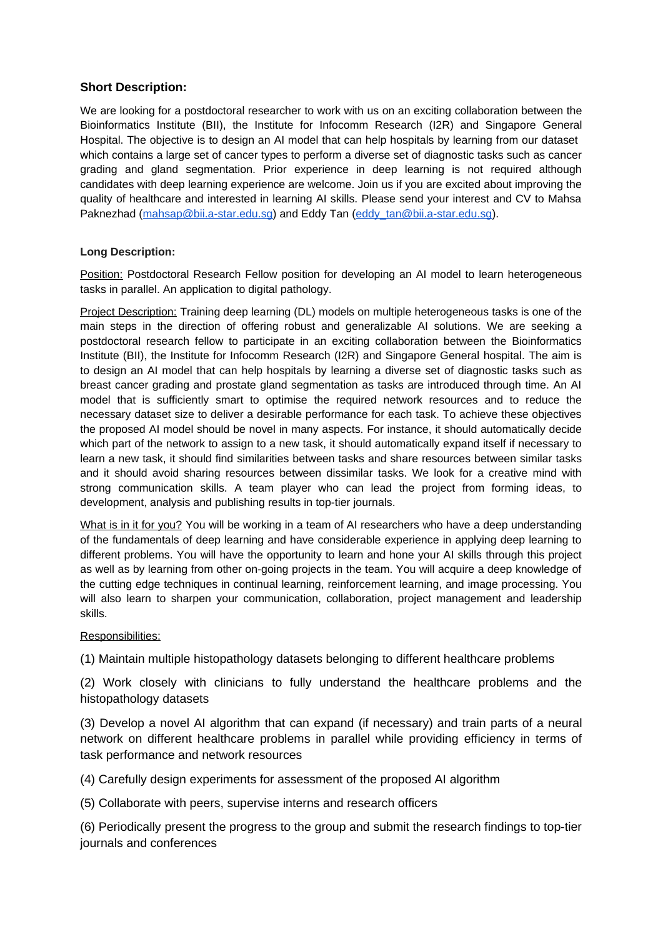## **Short Description:**

We are looking for a postdoctoral researcher to work with us on an exciting collaboration between the Bioinformatics Institute (BII), the Institute for Infocomm Research (I2R) and Singapore General Hospital. The objective is to design an AI model that can help hospitals by learning from our dataset which contains a large set of cancer types to perform a diverse set of diagnostic tasks such as cancer grading and gland segmentation. Prior experience in deep learning is not required although candidates with deep learning experience are welcome. Join us if you are excited about improving the quality of healthcare and interested in learning AI skills. Please send your interest and CV to Mahsa Paknezhad [\(mahsap@bii.a-star.edu.sg\)](mailto:mahsap@bii.a-star.edu.sg) and Eddy Tan [\(eddy\\_tan@bii.a-star.edu.sg\)](mailto:eddy_tan@bii.a-star.edu.sg).

## **Long Description:**

Position: Postdoctoral Research Fellow position for developing an AI model to learn heterogeneous tasks in parallel. An application to digital pathology.

Project Description: Training deep learning (DL) models on multiple heterogeneous tasks is one of the main steps in the direction of offering robust and generalizable AI solutions. We are seeking a postdoctoral research fellow to participate in an exciting collaboration between the Bioinformatics Institute (BII), the Institute for Infocomm Research (I2R) and Singapore General hospital. The aim is to design an AI model that can help hospitals by learning a diverse set of diagnostic tasks such as breast cancer grading and prostate gland segmentation as tasks are introduced through time. An AI model that is sufficiently smart to optimise the required network resources and to reduce the necessary dataset size to deliver a desirable performance for each task. To achieve these objectives the proposed AI model should be novel in many aspects. For instance, it should automatically decide which part of the network to assign to a new task, it should automatically expand itself if necessary to learn a new task, it should find similarities between tasks and share resources between similar tasks and it should avoid sharing resources between dissimilar tasks. We look for a creative mind with strong communication skills. A team player who can lead the project from forming ideas, to development, analysis and publishing results in top-tier journals.

What is in it for you? You will be working in a team of AI researchers who have a deep understanding of the fundamentals of deep learning and have considerable experience in applying deep learning to different problems. You will have the opportunity to learn and hone your AI skills through this project as well as by learning from other on-going projects in the team. You will acquire a deep knowledge of the cutting edge techniques in continual learning, reinforcement learning, and image processing. You will also learn to sharpen your communication, collaboration, project management and leadership skills.

## Responsibilities:

(1) Maintain multiple histopathology datasets belonging to different healthcare problems

(2) Work closely with clinicians to fully understand the healthcare problems and the histopathology datasets

(3) Develop a novel AI algorithm that can expand (if necessary) and train parts of a neural network on different healthcare problems in parallel while providing efficiency in terms of task performance and network resources

(4) Carefully design experiments for assessment of the proposed AI algorithm

(5) Collaborate with peers, supervise interns and research officers

(6) Periodically present the progress to the group and submit the research findings to top-tier journals and conferences